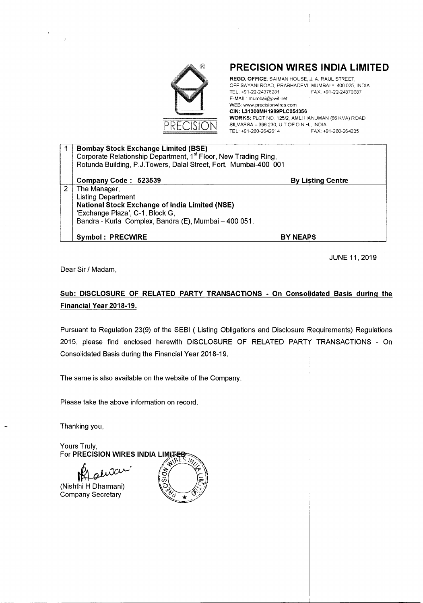

### **PRECISION WIRES INDIA LIMITED**

REGD. OFFICE: SAIMAN HOUSE, J. A. RAUL STREET, OFFSAYANIROAD,PRABHADEVI,MUMBAI- 400025, INDIA TEL +91·22·24376281 FAX +91·22·24370687 E-MAIL: mumbai@pwil.net WEB: www.precisionwires.com CIN: L31300MH1989PLC054356 WORKS: PLOTNO *125/2,* AMLIH4NUMAN(66KVA)ROAD, SILVASSA-396230, UTOFDNH, INDIA TEL: +91-260-2642614

| <b>Bombay Stock Exchange Limited (BSE)</b>                                  |                          |  |  |  |  |
|-----------------------------------------------------------------------------|--------------------------|--|--|--|--|
| Corporate Relationship Department, 1 <sup>st</sup> Floor, New Trading Ring, |                          |  |  |  |  |
| Rotunda Building, P.J.Towers, Dalal Street, Fort, Mumbai-400 001            |                          |  |  |  |  |
|                                                                             |                          |  |  |  |  |
| Company Code: 523539                                                        | <b>By Listing Centre</b> |  |  |  |  |
| The Manager,                                                                |                          |  |  |  |  |
| <b>Listing Department</b>                                                   |                          |  |  |  |  |
| <b>National Stock Exchange of India Limited (NSE)</b>                       |                          |  |  |  |  |
| 'Exchange Plaza', C-1, Block G,                                             |                          |  |  |  |  |
| Bandra - Kurla Complex, Bandra (E), Mumbai - 400 051.                       |                          |  |  |  |  |
|                                                                             |                          |  |  |  |  |
| <b>Symbol: PRECWIRE</b>                                                     | <b>BY NEAPS</b>          |  |  |  |  |

JUNE 11,2019

Dear Sir *I* Madam,

#### Sub: **DISCLOSURE OF RELATED PARTY TRANSACTIONS - On Consolidated Basis during the Financial Year 2018-19.**

Pursuant to Regulation 23(9) of the SEBI ( Listing Obligations and Disclosure Requirements) Regulations 2015, please find enclosed herewith DISCLOSURE OF RELATED PARTY TRANSACTIONS - On Consolidated Basis during the Financial Year 2018-19.

The same is also available on the website of the Company.

Please take the above information on record.

Thanking you,

Yours Truly, **For PRECISION WIRES INDIA LIMUTED** 

(Nishthi H Dharmani) Company Secretary

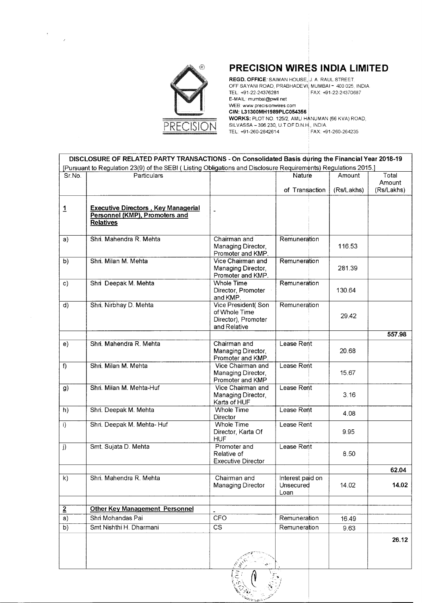

 $\frac{1}{2}$  ,  $\frac{1}{2}$ 

## **PRECISION WIRES INDIA LIMITED**

**REGD. OFFICE**: SAIMAN HOUSE, J. A. RAUL STREET. OFF SAYANI ROAD, PRABHADEVI, MUMBAI = 400 025, INDIA. TEL: +91-22-24376281 **FAX: +91-22-24370687** E-MAIL: mumbai@pwil.net WEB: www.precisionwires.com CIN: L31300MH1989PLC054356 WORKS: PLOT NO. 125/2, AMLI HANUMAN (66 KVA) ROAD, SILVASSA – 396 230, U.T.OF D.N.H., INDIA.<br>TEL: +91-260-2642614 FAX: +91-260-264235

TEL: +91-260-2642614

|                                                                                                                | DISCLOSURE OF RELATED PARTY TRANSACTIONS - On Consolidated Basis during the Financial Year 2018-19 |                                                                            |                                       |            |                 |  |  |
|----------------------------------------------------------------------------------------------------------------|----------------------------------------------------------------------------------------------------|----------------------------------------------------------------------------|---------------------------------------|------------|-----------------|--|--|
| [Pursuant to Regulation 23(9) of the SEBI (Listing Obligations and Disclosure Requirements) Regulations 2015.] |                                                                                                    |                                                                            |                                       |            |                 |  |  |
| Sr.No.                                                                                                         | Particulars                                                                                        |                                                                            | Nature                                | Amount     | Total<br>Amount |  |  |
|                                                                                                                |                                                                                                    |                                                                            | of Transaction                        | (Rs/Lakhs) | (Rs/Lakhs)      |  |  |
| 1                                                                                                              | <b>Executive Directors, Key Managerial</b><br>Personnel (KMP), Promoters and<br><b>Relatives</b>   |                                                                            |                                       |            |                 |  |  |
| a)                                                                                                             | Shri. Mahendra R. Mehta                                                                            | Chairman and<br>Managing Director,<br>Promoter and KMP.                    | Remuneration                          | 116.53     |                 |  |  |
| b)                                                                                                             | Shri. Milan M. Mehta                                                                               | Vice Chairman and<br>Managing Director,<br>Promoter and KMP.               | Remuneration                          | 281.39     |                 |  |  |
| $\mathbf{c}$                                                                                                   | Shri Deepak M. Mehta                                                                               | <b>Whole Time</b><br>Director, Promoter<br>and KMP.                        | Remuneration                          | 130.64     |                 |  |  |
| d)                                                                                                             | Shri. Nirbhay D. Mehta                                                                             | Vice President(Son<br>of Whole Time<br>Director), Promoter<br>and Relative | Remuneration                          | 29.42      |                 |  |  |
|                                                                                                                |                                                                                                    |                                                                            |                                       |            | 557.98          |  |  |
| e)                                                                                                             | Shri. Mahendra R. Mehta                                                                            | Chairman and<br>Managing Director,<br>Promoter and KMP.                    | Lease Rent                            | 20.68      |                 |  |  |
| f                                                                                                              | Shri. Milan M. Mehta                                                                               | Vice Chairman and<br>Managing Director,<br>Promoter and KMP                | Lease Rent                            | 15.67      |                 |  |  |
| g)                                                                                                             | Shri. Milan M. Mehta-Huf                                                                           | Vice Chairman and<br>Managing Director,<br>Karta of HUF                    | Lease Rent                            | 3.16       |                 |  |  |
| h)                                                                                                             | Shri. Deepak M. Mehta                                                                              | Whole Time<br>Director                                                     | Lease Rent                            | 4.08       |                 |  |  |
| $\ddot{\mathbf{i}}$                                                                                            | Shri. Deepak M. Mehta- Huf                                                                         | <b>Whole Time</b><br>Director, Karta Of<br><b>HUF</b>                      | Lease Rent                            | 9.95       |                 |  |  |
| $\overline{\mathbf{j}}$                                                                                        | Smt. Sujata D. Mehta                                                                               | Promoter and<br>Relative of<br><b>Executive Director</b>                   | Lease Rent                            | 8.50       |                 |  |  |
|                                                                                                                |                                                                                                    |                                                                            |                                       |            | 62.04           |  |  |
| k)                                                                                                             | Shri. Mahendra R. Mehta                                                                            | Chairman and<br><b>Managing Director</b>                                   | Interest paid on<br>Unsecured<br>Loan | 14.02      | 14.02           |  |  |
|                                                                                                                | <b>Other Key Management Personnel</b>                                                              |                                                                            |                                       |            |                 |  |  |
| $\overline{2}$<br>a)                                                                                           | Shri Mohandas Pai                                                                                  | <b>CFO</b>                                                                 | Remuneration                          | 16.49      |                 |  |  |
| $\overline{b)}$                                                                                                | Smt Nishthi H. Dharmani                                                                            | $\overline{\text{cs}}$                                                     | Remuneration                          | 9.63       |                 |  |  |
|                                                                                                                |                                                                                                    |                                                                            |                                       |            |                 |  |  |
|                                                                                                                |                                                                                                    |                                                                            |                                       |            | 26.12           |  |  |

" 1's: V  $\left(\begin{matrix} \frac{1}{2} & \frac{1}{2} \\ \frac{1}{2} & \frac{1}{2} \end{matrix}\right)$ *( ;r,\* - " ;  $\langle \hat{e}_i \rangle = \langle \hat{e}_j \rangle$ ,. '.'., *..:i*

,